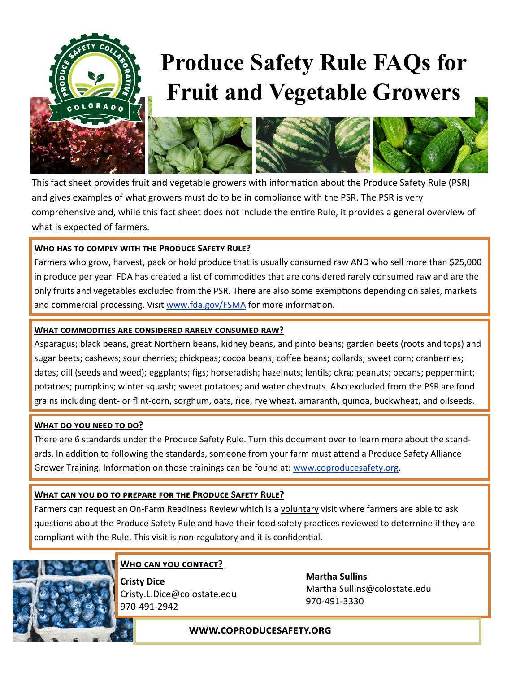

# **Produce Safety Rule FAQs for Fruit and Vegetable Growers**



This fact sheet provides fruit and vegetable growers with information about the Produce Safety Rule (PSR) and gives examples of what growers must do to be in compliance with the PSR. The PSR is very comprehensive and, while this fact sheet does not include the entire Rule, it provides a general overview of what is expected of farmers.

## **Who has to comply with the Produce Safety Rule?**

Farmers who grow, harvest, pack or hold produce that is usually consumed raw AND who sell more than \$25,000 in produce per year. FDA has created a list of commodities that are considered rarely consumed raw and are the only fruits and vegetables excluded from the PSR. There are also some exemptions depending on sales, markets and commercial processing. Visit [www.fda.gov/FSMA](http://www.fda.gov/FSMA) for more information.

#### **What commodities are considered rarely consumed raw?**

Asparagus; black beans, great Northern beans, kidney beans, and pinto beans; garden beets (roots and tops) and sugar beets; cashews; sour cherries; chickpeas; cocoa beans; coffee beans; collards; sweet corn; cranberries; dates; dill (seeds and weed); eggplants; figs; horseradish; hazelnuts; lentils; okra; peanuts; pecans; peppermint; potatoes; pumpkins; winter squash; sweet potatoes; and water chestnuts. Also excluded from the PSR are food grains including dent- or flint-corn, sorghum, oats, rice, rye wheat, amaranth, quinoa, buckwheat, and oilseeds.

### **What do you need to do?**

There are 6 standards under the Produce Safety Rule. Turn this document over to learn more about the standards. In addition to following the standards, someone from your farm must attend a Produce Safety Alliance Grower Training. Information on those trainings can be found at: [www.coproducesafety.org.](http://www.coproducesafety.org)

### **What can you do to prepare for the Produce Safety Rule?**

Farmers can request an On-Farm Readiness Review which is a voluntary visit where farmers are able to ask questions about the Produce Safety Rule and have their food safety practices reviewed to determine if they are compliant with the Rule. This visit is non-regulatory and it is confidential.



### **Who can you contact?**

**Cristy Dice** Cristy.L.Dice@colostate.edu 970-491-2942

**Martha Sullins** Martha.Sullins@colostate.edu 970-491-3330

### **www.coproducesafety.org**